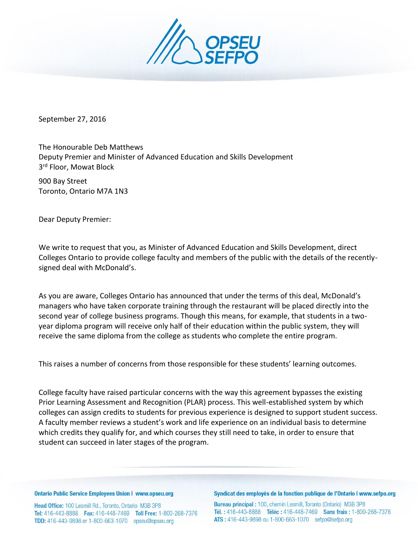

September 27, 2016

The Honourable Deb Matthews Deputy Premier and Minister of Advanced Education and Skills Development 3<sup>rd</sup> Floor, Mowat Block

900 Bay Street Toronto, Ontario M7A 1N3

Dear Deputy Premier:

We write to request that you, as Minister of Advanced Education and Skills Development, direct Colleges Ontario to provide college faculty and members of the public with the details of the recentlysigned deal with McDonald's.

As you are aware, Colleges Ontario has announced that under the terms of this deal, McDonald's managers who have taken corporate training through the restaurant will be placed directly into the second year of college business programs. Though this means, for example, that students in a twoyear diploma program will receive only half of their education within the public system, they will receive the same diploma from the college as students who complete the entire program.

This raises a number of concerns from those responsible for these students' learning outcomes.

College faculty have raised particular concerns with the way this agreement bypasses the existing Prior Learning Assessment and Recognition (PLAR) process. This well-established system by which colleges can assign credits to students for previous experience is designed to support student success. A faculty member reviews a student's work and life experience on an individual basis to determine which credits they qualify for, and which courses they still need to take, in order to ensure that student can succeed in later stages of the program.

**Ontario Public Service Employees Union I www.opseu.org** 

Head Office: 100 Lesmill Rd., Toronto, Ontario M3B 3P8 Tel: 416-443-8888 Fax: 416-448-7469 Toll Free: 1-800-268-7376 **TDD:** 416-443-9898 or 1-800-663-1070 opseu@opseu.org

Syndicat des employés de la fonction publique de l'Ontario I www.sefpo.org

Bureau principal: 100, chemin Lesmill, Toronto (Ontario) M3B 3P8 Tél.: 416-443-8888 Téléc: 416-448-7469 Sans frais: 1-800-268-7376 ATS: 416-443-9898 ou 1-800-663-1070 sefpo@sefpo.org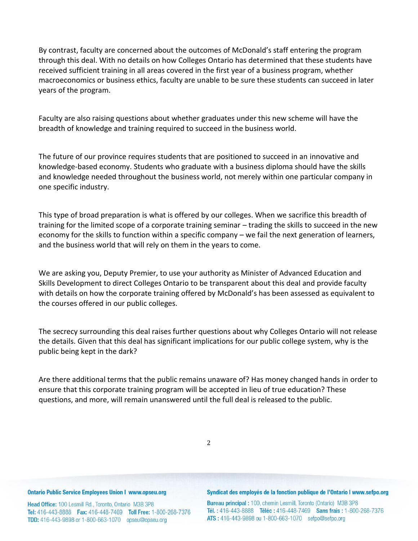By contrast, faculty are concerned about the outcomes of McDonald's staff entering the program through this deal. With no details on how Colleges Ontario has determined that these students have received sufficient training in all areas covered in the first year of a business program, whether macroeconomics or business ethics, faculty are unable to be sure these students can succeed in later years of the program.

Faculty are also raising questions about whether graduates under this new scheme will have the breadth of knowledge and training required to succeed in the business world.

The future of our province requires students that are positioned to succeed in an innovative and knowledge-based economy. Students who graduate with a business diploma should have the skills and knowledge needed throughout the business world, not merely within one particular company in one specific industry.

This type of broad preparation is what is offered by our colleges. When we sacrifice this breadth of training for the limited scope of a corporate training seminar – trading the skills to succeed in the new economy for the skills to function within a specific company – we fail the next generation of learners, and the business world that will rely on them in the years to come.

We are asking you, Deputy Premier, to use your authority as Minister of Advanced Education and Skills Development to direct Colleges Ontario to be transparent about this deal and provide faculty with details on how the corporate training offered by McDonald's has been assessed as equivalent to the courses offered in our public colleges.

The secrecy surrounding this deal raises further questions about why Colleges Ontario will not release the details. Given that this deal has significant implications for our public college system, why is the public being kept in the dark?

Are there additional terms that the public remains unaware of? Has money changed hands in order to ensure that this corporate training program will be accepted in lieu of true education? These questions, and more, will remain unanswered until the full deal is released to the public.

## **Ontario Public Service Employees Union I www.opseu.org**

Head Office: 100 Lesmill Rd., Toronto, Ontario M3B 3P8 Tel: 416-443-8888 Fax: 416-448-7469 Toll Free: 1-800-268-7376 TDD: 416-443-9898 or 1-800-663-1070 opseu@opseu.org

## Syndicat des employés de la fonction publique de l'Ontario I www.sefpo.org

Bureau principal: 100, chemin Lesmill, Toronto (Ontario) M3B 3P8 Tél.: 416-443-8888 Téléc: 416-448-7469 Sans frais: 1-800-268-7376 ATS: 416-443-9898 ou 1-800-663-1070 sefpo@sefpo.org